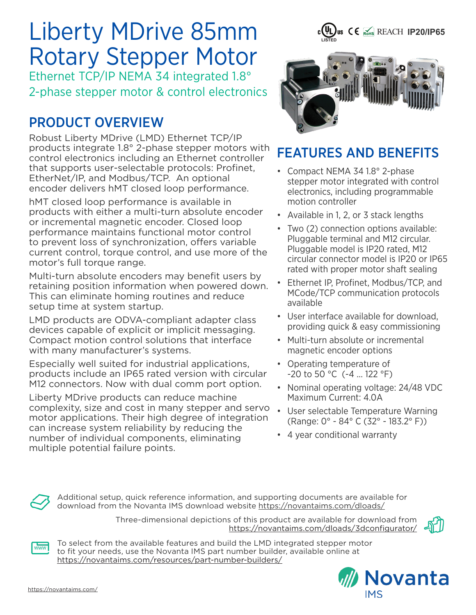# Liberty MDrive 85mm Rotary Stepper Motor

Ethernet TCP/IP NEMA 34 integrated 1.8° 2-phase stepper motor & control electronics

# PRODUCT OVERVIEW

Robust Liberty MDrive (LMD) Ethernet TCP/IP products integrate 1.8° 2-phase stepper motors with control electronics including an Ethernet controller that supports user-selectable protocols: Profinet, EtherNet/IP, and Modbus/TCP. An optional encoder delivers hMT closed loop performance.

hMT closed loop performance is available in products with either a multi-turn absolute encoder or incremental magnetic encoder. Closed loop performance maintains functional motor control to prevent loss of synchronization, offers variable current control, torque control, and use more of the motor's full torque range.

Multi-turn absolute encoders may benefit users by retaining position information when powered down. This can eliminate homing routines and reduce setup time at system startup.

LMD products are ODVA-compliant adapter class devices capable of explicit or implicit messaging. Compact motion control solutions that interface with many manufacturer's systems.

Especially well suited for industrial applications, products include an IP65 rated version with circular M12 connectors. Now with dual comm port option.

Liberty MDrive products can reduce machine complexity, size and cost in many stepper and servo motor applications. Their high degree of integration can increase system reliability by reducing the number of individual components, eliminating multiple potential failure points.



**c(UL)us CE** REACH **IP20/IP65** 

## FEATURES AND BENEFITS

- Compact NEMA 34 1.8° 2-phase stepper motor integrated with control electronics, including programmable motion controller
- Available in 1, 2, or 3 stack lengths
- Two (2) connection options available: Pluggable terminal and M12 circular. Pluggable model is IP20 rated, M12 circular connector model is IP20 or IP65 rated with proper motor shaft sealing
- Ethernet IP, Profinet, Modbus/TCP, and MCode/TCP communication protocols available
- User interface available for download, providing quick & easy commissioning
- Multi-turn absolute or incremental magnetic encoder options
- Operating temperature of -20 to 50 °C (-4 ... 122 °F)
- Nominal operating voltage: 24/48 VDC Maximum Current: 4.0A
- User selectable Temperature Warning (Range: 0° - 84° C (32° - 183.2° F))
- 4 year conditional warranty

Additional setup, quick reference information, and supporting documents are available for download from the Novanta IMS download website https://novantaims.com/dloads/

> Three-dimensional depictions of this product are available for download from https://novantaims.com/dloads/3dconfigurator/



To select from the available features and build the LMD integrated stepper motor to fit your needs, use the Novanta IMS part number builder, available online at https://novantaims.com/resources/part-number-builders/